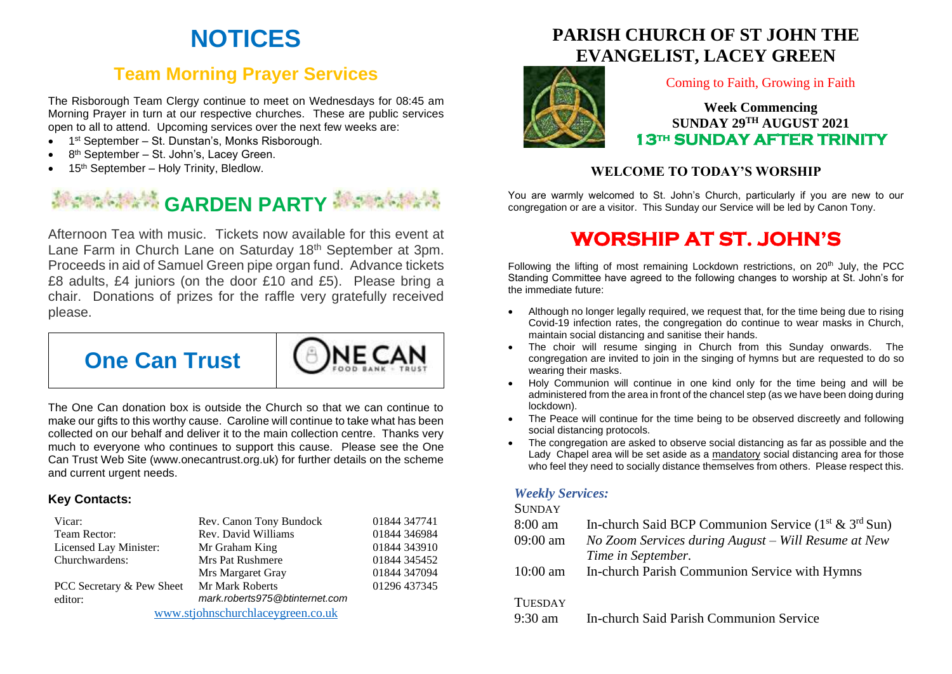# **NOTICES**

## **Team Morning Prayer Services**

The Risborough Team Clergy continue to meet on Wednesdays for 08:45 am Morning Prayer in turn at our respective churches. These are public services open to all to attend. Upcoming services over the next few weeks are:

- 1<sup>st</sup> September St. Dunstan's, Monks Risborough.
- 8<sup>th</sup> September St. John's, Lacey Green.
- 15<sup>th</sup> September Holy Trinity, Bledlow.

# **Management CARDEN PARTY Management**

Afternoon Tea with music. Tickets now available for this event at Lane Farm in Church Lane on Saturday 18<sup>th</sup> September at 3pm. Proceeds in aid of Samuel Green pipe organ fund. Advance tickets £8 adults, £4 juniors (on the door £10 and £5). Please bring a chair. Donations of prizes for the raffle very gratefully received please.

NF CA



The One Can donation box is outside the Church so that we can continue to make our gifts to this worthy cause. Caroline will continue to take what has been collected on our behalf and deliver it to the main collection centre. Thanks very much to everyone who continues to support this cause. Please see the One Can Trust Web Site (www.onecantrust.org.uk) for further details on the scheme and current urgent needs.

#### **Key Contacts:**

| Vicar:                            | Rev. Canon Tony Bundock        | 01844 347741 |
|-----------------------------------|--------------------------------|--------------|
| Team Rector:                      | Rev. David Williams            | 01844 346984 |
| Licensed Lay Minister:            | Mr Graham King                 | 01844 343910 |
| Churchwardens:                    | <b>Mrs Pat Rushmere</b>        | 01844 345452 |
|                                   | Mrs Margaret Gray              | 01844 347094 |
| PCC Secretary & Pew Sheet         | Mr Mark Roberts                | 01296 437345 |
| editor:                           | mark.roberts975@btinternet.com |              |
| www.stjohnschurchlaceygreen.co.uk |                                |              |

## **PARISH CHURCH OF ST JOHN THE EVANGELIST, LACEY GREEN**



#### Coming to Faith, Growing in Faith

#### **Week Commencing SUNDAY 29 TH AUGUST 2021 13th SUNDAY AFTER TRINITY**

#### **WELCOME TO TODAY'S WORSHIP**

You are warmly welcomed to St. John's Church, particularly if you are new to our congregation or are a visitor. This Sunday our Service will be led by Canon Tony.

# **WORSHIP AT ST. JOHN'S**

Following the lifting of most remaining Lockdown restrictions, on  $20<sup>th</sup>$  July, the PCC Standing Committee have agreed to the following changes to worship at St. John's for the immediate future:

- Although no longer legally required, we request that, for the time being due to rising Covid-19 infection rates, the congregation do continue to wear masks in Church, maintain social distancing and sanitise their hands.
- The choir will resume singing in Church from this Sunday onwards. The congregation are invited to join in the singing of hymns but are requested to do so wearing their masks.
- Holy Communion will continue in one kind only for the time being and will be administered from the area in front of the chancel step (as we have been doing during lockdown).
- The Peace will continue for the time being to be observed discreetly and following social distancing protocols.
- The congregation are asked to observe social distancing as far as possible and the Lady Chapel area will be set aside as a mandatory social distancing area for those who feel they need to socially distance themselves from others. Please respect this.

#### *Weekly Services:*

#### **SUNDAY**

8:00 am In-church Said BCP Communion Service  $(1^{st} \& 3^{rd} Sun)$ 09:00 am *No Zoom Services during August – Will Resume at New Time in September.* 10:00 am In-church Parish Communion Service with Hymns **TUESDAY** 9:30 am In-church Said Parish Communion Service